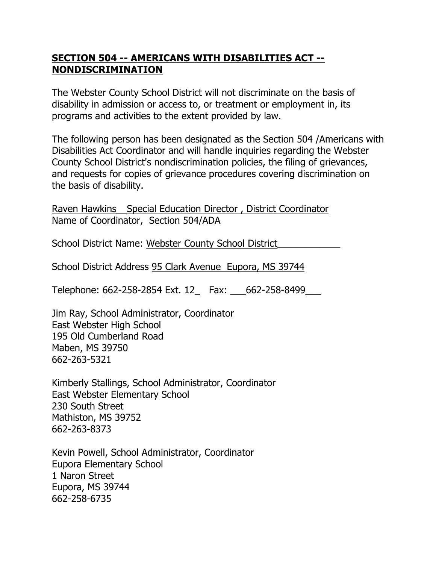## **SECTION 504 -- AMERICANS WITH DISABILITIES ACT -- NONDISCRIMINATION**

The Webster County School District will not discriminate on the basis of disability in admission or access to, or treatment or employment in, its programs and activities to the extent provided by law.

The following person has been designated as the Section 504 /Americans with Disabilities Act Coordinator and will handle inquiries regarding the Webster County School District's nondiscrimination policies, the filing of grievances, and requests for copies of grievance procedures covering discrimination on the basis of disability.

Raven Hawkins Special Education Director, District Coordinator Name of Coordinator, Section 504/ADA

School District Name: Webster County School District\_\_\_\_\_\_\_\_\_\_\_\_

School District Address 95 Clark Avenue Eupora, MS 39744

Telephone: 662-258-2854 Ext. 12\_ Fax: \_\_\_662-258-8499\_\_\_

Jim Ray, School Administrator, Coordinator East Webster High School 195 Old Cumberland Road Maben, MS 39750 662-263-5321

Kimberly Stallings, School Administrator, Coordinator East Webster Elementary School 230 South Street Mathiston, MS 39752 662-263-8373

Kevin Powell, School Administrator, Coordinator Eupora Elementary School 1 Naron Street Eupora, MS 39744 662-258-6735